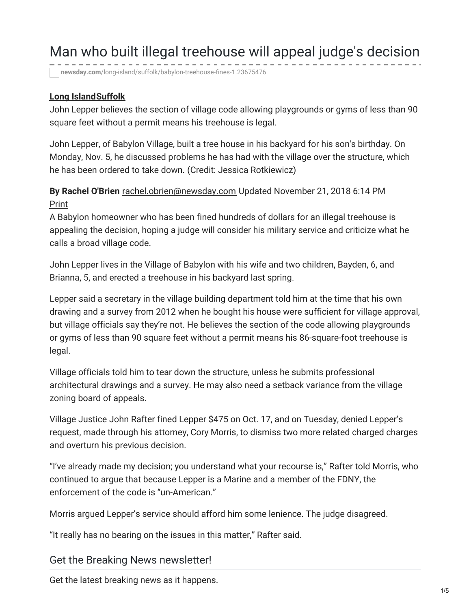# Man who built illegal treehouse will appeal judge's decision

**newsday.com**[/long-island/suffolk/babylon-treehouse-fines-1.23675476](https://www.newsday.com/long-island/suffolk/babylon-treehouse-fines-1.23675476)

#### **Long [Island](https://www.newsday.com/long-island)[Suffolk](https://www.newsday.com/long-island/suffolk)**

John Lepper believes the section of village code allowing playgrounds or gyms of less than 90 square feet without a permit means his treehouse is legal.

John Lepper, of Babylon Village, built a tree house in his backyard for his son's birthday. On Monday, Nov. 5, he discussed problems he has had with the village over the structure, which he has been ordered to take down. (Credit: Jessica Rotkiewicz)

**By Rachel O'Brien** [rachel.obrien@newsday.com](mailto:rachel.obrien@newsday.com?subject=Man who built illegal treehouse will appeal judge%27s decision%C2%A0&body=John Lepper believes%C2%A0the section of village%C2%A0code%C2%A0allowing playgrounds or gyms of less than 90 square feet without a permit means%C2%A0his treehouse is legal.%0D%0Ahttps://www.newsday.com/long-island/suffolk/babylon-treehouse-fines-1.23675476) Updated November 21, 2018 6:14 PM Print

A Babylon homeowner who has been fined hundreds of dollars for an illegal treehouse is appealing the decision, hoping a judge will consider his military service and criticize what he calls a broad village code.

John Lepper lives in the Village of Babylon with his wife and two children, Bayden, 6, and Brianna, 5, and erected a treehouse in his backyard last spring.

Lepper said a secretary in the village building department told him at the time that his own drawing and a survey from 2012 when he bought his house were sufficient for village approval, but village officials say they're not. He believes the section of the code allowing playgrounds or gyms of less than 90 square feet without a permit means his 86-square-foot treehouse is legal.

Village officials told him to tear down the structure, unless he submits professional architectural drawings and a survey. He may also need a setback variance from the village zoning board of appeals.

Village Justice John Rafter fined Lepper \$475 on Oct. 17, and on Tuesday, denied Lepper's request, made through his attorney, Cory Morris, to dismiss two more related charged charges and overturn his previous decision.

"I've already made my decision; you understand what your recourse is," Rafter told Morris, who continued to argue that because Lepper is a Marine and a member of the FDNY, the enforcement of the code is "un-American."

Morris argued Lepper's service should afford him some lenience. The judge disagreed.

"It really has no bearing on the issues in this matter," Rafter said.

#### Get the Breaking News newsletter!

Get the latest breaking news as it happens.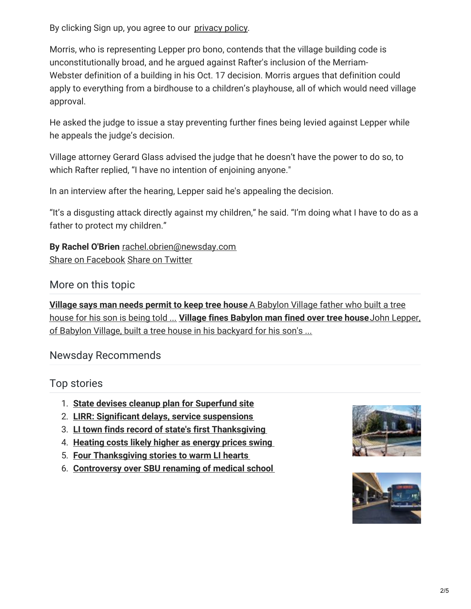By clicking Sign up, you agree to our [privacy](https://www.newsday.com/privacy) policy.

Morris, who is representing Lepper pro bono, contends that the village building code is unconstitutionally broad, and he argued against Rafter's inclusion of the Merriam-Webster definition of a building in his Oct. 17 decision. Morris argues that definition could apply to everything from a birdhouse to a children's playhouse, all of which would need village approval.

He asked the judge to issue a stay preventing further fines being levied against Lepper while he appeals the judge's decision.

Village attorney Gerard Glass advised the judge that he doesn't have the power to do so, to which Rafter replied, "I have no intention of enjoining anyone."

In an interview after the hearing, Lepper said he's appealing the decision.

"It's a disgusting attack directly against my children," he said. "I'm doing what I have to do as a father to protect my children."

**By Rachel O'Brien** [rachel.obrien@newsday.com](mailto:rachel.obrien@newsday.com?subject=Man who built illegal treehouse will appeal judge%27s decision%C2%A0&body=John Lepper believes%C2%A0the section of village%C2%A0code%C2%A0allowing playgrounds or gyms of less than 90 square feet without a permit means%C2%A0his treehouse is legal.%0D%0Ahttps://www.newsday.com/long-island/suffolk/babylon-treehouse-fines-1.23675476) Share on [Facebook](https://www.facebook.com/sharer/sharer.php?u=https://www.newsday.com/long-island/suffolk/babylon-treehouse-fines-1.23675476) Share on [Twitter](https://twitter.com/intent/tweet?text=Man who built illegal treehouse will appeal judge%27s decision%C2%A0&url=https://nwsdy.li/2PKtt3N&via=Newsday)

#### More on this topic

**Village says man needs permit to keep tree house** A Babylon Village father who built a tree house for his son is being told ... **Village fines [Babylon](https://www.newsday.com/long-island/suffolk/babylon-village-tree-house-1.23172743) man fined over tree house**John Lepper, of Babylon Village, built a tree house in his [backyard](https://www.newsday.com/long-island/suffolk/babylon-village-tree-house-1.22944064) for his son's ...

## Newsday Recommends

## Top stories

- 1. **State devises cleanup plan for [Superfund](https://www.newsday.com/long-island/suffolk/superfund-west-islip-1.23687966) site**
- 2. **LIRR: Significant delays, service [suspensions](https://www.newsday.com/long-island/transportation/lirr-delays-thanksgiving-power-problem-1.23749643)**
- 3. **LI town finds record of state's first [Thanksgiving](https://www.newsday.com/long-island/history/thanksgiving-diary-oyster-bay-museum-1.23712528)**
- 4. **[Heating](https://www.newsday.com/business/home-heating-fuel-cost-long-island-1.23699108) costs likely higher as energy prices swing**
- 5. **Four [Thanksgiving](https://www.newsday.com/long-island/thanksgiving-long-island-1.23694221) stories to warm LI hearts**
- 6. **[Controversy](https://www.newsday.com/long-island/education/stony-brook-renaissance-technologies-1.23709885) over SBU renaming of medical school**



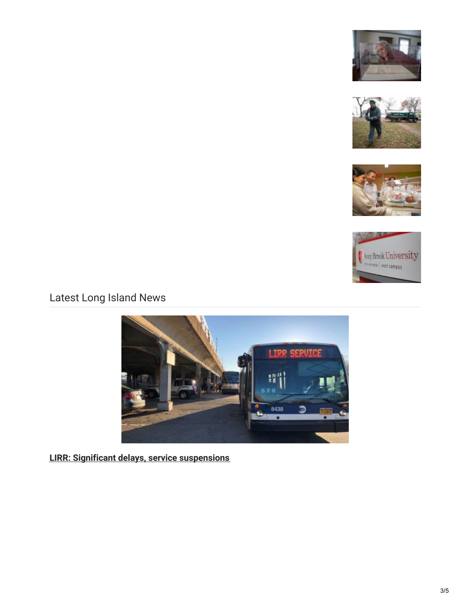







# Latest Long Island News



**LIRR: Significant delays, service [suspensions](https://www.newsday.com/long-island/transportation/lirr-delays-thanksgiving-power-problem-1.23749643)**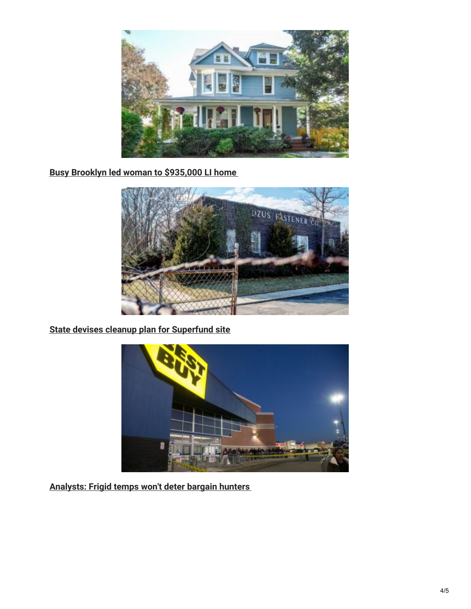

**Busy Brooklyn led woman to [\\$935,000](https://www.newsday.com/classifieds/real-estate/sea-cliff-house-sale-1.23685802) LI home**



**State devises cleanup plan for [Superfund](https://www.newsday.com/long-island/suffolk/superfund-west-islip-1.23687966) site**



**[Analysts:](https://www.newsday.com/business/thanksgiving-shopping-black-friday-1.23720341) Frigid temps won't deter bargain hunters**